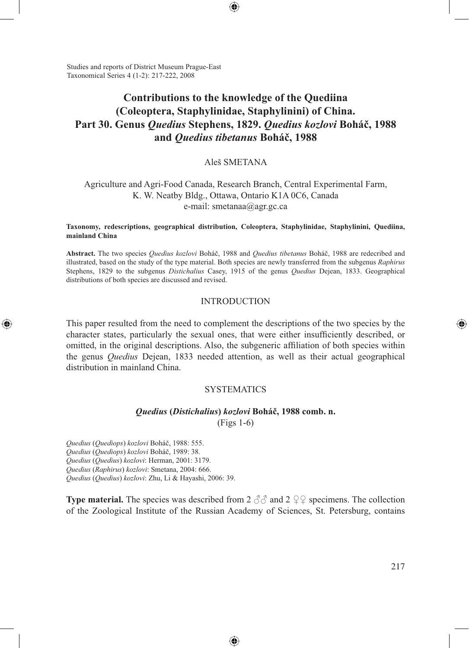Studies and reports of District Museum Prague-East Taxonomical Series 4 (1-2): 217-222, 2008

# **Contributions to the knowledge of the Quediina (Coleoptera, Staphylinidae, Staphylinini) of China. Part 30. Genus** *Quedius* **Stephens, 1829.** *Quedius kozlovi* **Boháč, 1988 and** *Quedius tibetanus* **Boháč, 1988**

⊕

### Aleš SMETANA

## Agriculture and Agri-Food Canada, Research Branch, Central Experimental Farm, K. W. Neatby Bldg., Ottawa, Ontario K1A 0C6, Canada e-mail: smetanaa@agr.gc.ca

#### **Taxonomy, redescriptions, geographical distribution, Coleoptera, Staphylinidae, Staphylinini, Quediina, mainland China**

**Abstract.** The two species *Quedius kozlovi* Boháč, 1988 and *Quedius tibetanus* Boháč, 1988 are redecribed and illustrated, based on the study of the type material. Both species are newly transferred from the subgenus *Raphirus*  Stephens, 1829 to the subgenus *Distichalius* Casey, 1915 of the genus *Quedius* Dejean, 1833. Geographical distributions of both species are discussed and revised.

## INTRODUCTION

This paper resulted from the need to complement the descriptions of the two species by the character states, particularly the sexual ones, that were either insufficiently described, or omitted, in the original descriptions. Also, the subgeneric affiliation of both species within the genus *Quedius* Dejean, 1833 needed attention, as well as their actual geographical distribution in mainland China.

### **SYSTEMATICS**

### *Quedius* **(***Distichalius***)** *kozlovi* **Boháč, 1988 comb. n.**

(Figs 1-6)

*Quedius* (*Quediops*) *kozlovi* Boháč, 1988: 555. *Quedius* (*Quediops*) *kozlovi* Boháč, 1989: 38. *Quedius* (*Quedius*) *kozlovi*: Herman, 2001: 3179. *Quedius* (*Raphirus*) *kozlovi*: Smetana, 2004: 666. *Quedius* (*Quedius*) *kozlovi*: Zhu, Li & Hayashi, 2006: 39.

⊕

**Type material.** The species was described from 2  $\partial \partial$  and 2  $\partial \partial \varphi$  specimens. The collection of the Zoological Institute of the Russian Academy of Sciences, St. Petersburg, contains

⊕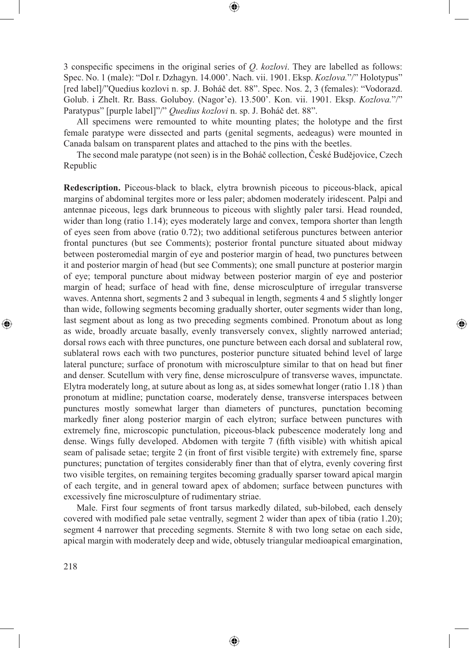3 conspecific specimens in the original series of *Q*. *kozlovi*. They are labelled as follows: Spec. No. 1 (male): "Dol r. Dzhagyn. 14.000'. Nach. vii. 1901. Eksp. *Kozlova.*"/" Holotypus" [red label]/"Quedius kozlovi n. sp. J. Boháč det. 88". Spec. Nos. 2, 3 (females): "Vodorazd. Golub. i Zhelt. Rr. Bass. Goluboy. (Nagor'e). 13.500'. Kon. vii. 1901. Eksp. *Kozlova.*"/" Paratypus" [purple label]"/" *Quedius kozlovi* n. sp. J. Boháč det. 88".

⊕

All specimens were remounted to white mounting plates; the holotype and the first female paratype were dissected and parts (genital segments, aedeagus) were mounted in Canada balsam on transparent plates and attached to the pins with the beetles.

The second male paratype (not seen) is in the Boháč collection, České Budějovice, Czech Republic

**Redescription.** Piceous-black to black, elytra brownish piceous to piceous-black, apical margins of abdominal tergites more or less paler; abdomen moderately iridescent. Palpi and antennae piceous, legs dark brunneous to piceous with slightly paler tarsi. Head rounded, wider than long (ratio 1.14); eyes moderately large and convex, tempora shorter than length of eyes seen from above (ratio 0.72); two additional setiferous punctures between anterior frontal punctures (but see Comments); posterior frontal puncture situated about midway between posteromedial margin of eye and posterior margin of head, two punctures between it and posterior margin of head (but see Comments); one small puncture at posterior margin of eye; temporal puncture about midway between posterior margin of eye and posterior margin of head; surface of head with fine, dense microsculpture of irregular transverse waves. Antenna short, segments 2 and 3 subequal in length, segments 4 and 5 slightly longer than wide, following segments becoming gradually shorter, outer segments wider than long, last segment about as long as two preceding segments combined. Pronotum about as long as wide, broadly arcuate basally, evenly transversely convex, slightly narrowed anteriad; dorsal rows each with three punctures, one puncture between each dorsal and sublateral row, sublateral rows each with two punctures, posterior puncture situated behind level of large lateral puncture; surface of pronotum with microsculpture similar to that on head but finer and denser. Scutellum with very fine, dense microsculpure of transverse waves, impunctate. Elytra moderately long, at suture about as long as, at sides somewhat longer (ratio 1.18 ) than pronotum at midline; punctation coarse, moderately dense, transverse interspaces between punctures mostly somewhat larger than diameters of punctures, punctation becoming markedly finer along posterior margin of each elytron; surface between punctures with extremely fine, microscopic punctulation, piceous-black pubescence moderately long and dense. Wings fully developed. Abdomen with tergite 7 (fifth visible) with whitish apical seam of palisade setae; tergite 2 (in front of first visible tergite) with extremely fine, sparse punctures; punctation of tergites considerably finer than that of elytra, evenly covering first two visible tergites, on remaining tergites becoming gradually sparser toward apical margin of each tergite, and in general toward apex of abdomen; surface between punctures with excessively fine microsculpture of rudimentary striae.

⊕

Male. First four segments of front tarsus markedly dilated, sub-bilobed, each densely covered with modified pale setae ventrally, segment 2 wider than apex of tibia (ratio 1.20); segment 4 narrower that preceding segments. Sternite 8 with two long setae on each side, apical margin with moderately deep and wide, obtusely triangular medioapical emargination,

⊕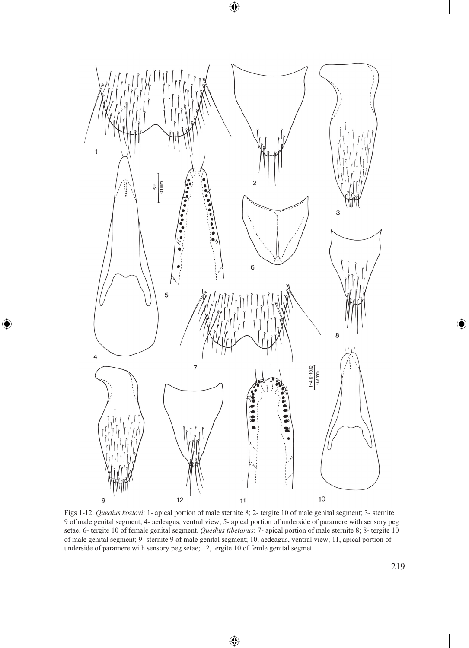

 $\bigoplus$ 

 $\bigoplus$ 

Figs 1-12. *Quedius kozlovi*: 1- apical portion of male sternite 8; 2- tergite 10 of male genital segment; 3- sternite 9 of male genital segment; 4- aedeagus, ventral view; 5- apical portion of underside of paramere with sensory peg setae; 6- tergite 10 of female genital segment. *Quedius tibetanus*: 7- apical portion of male sternite 8; 8- tergite 10 of male genital segment; 9- sternite 9 of male genital segment; 10, aedeagus, ventral view; 11, apical portion of underside of paramere with sensory peg setae; 12, tergite 10 of femle genital segmet.

⊕

 $\bigoplus$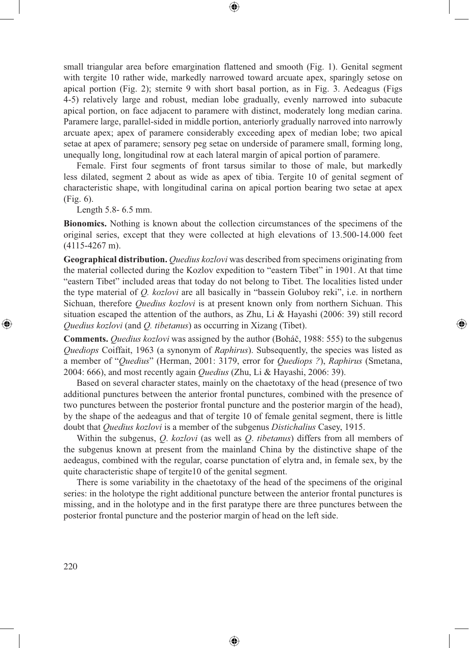small triangular area before emargination flattened and smooth (Fig. 1). Genital segment with tergite 10 rather wide, markedly narrowed toward arcuate apex, sparingly setose on apical portion (Fig. 2); sternite 9 with short basal portion, as in Fig. 3. Aedeagus (Figs 4-5) relatively large and robust, median lobe gradually, evenly narrowed into subacute apical portion, on face adjacent to paramere with distinct, moderately long median carina. Paramere large, parallel-sided in middle portion, anteriorly gradually narroved into narrowly arcuate apex; apex of paramere considerably exceeding apex of median lobe; two apical setae at apex of paramere; sensory peg setae on underside of paramere small, forming long, unequally long, longitudinal row at each lateral margin of apical portion of paramere.

⊕

Female. First four segments of front tarsus similar to those of male, but markedly less dilated, segment 2 about as wide as apex of tibia. Tergite 10 of genital segment of characteristic shape, with longitudinal carina on apical portion bearing two setae at apex (Fig. 6).

Length 5.8- 6.5 mm.

**Bionomics.** Nothing is known about the collection circumstances of the specimens of the original series, except that they were collected at high elevations of 13.500-14.000 feet (4115-4267 m).

**Geographical distribution.** *Quedius kozlovi* was described from specimens originating from the material collected during the Kozlov expedition to "eastern Tibet" in 1901. At that time "eastern Tibet" included areas that today do not belong to Tibet. The localities listed under the type material of *Q. kozlovi* are all basically in "bassein Goluboy reki", i.e. in northern Sichuan, therefore *Quedius kozlovi* is at present known only from northern Sichuan. This situation escaped the attention of the authors, as Zhu, Li & Hayashi (2006: 39) still record *Quedius kozlovi* (and *Q. tibetanus*) as occurring in Xizang (Tibet).

⊕

**Comments.** *Quedius kozlovi* was assigned by the author (Boháč, 1988: 555) to the subgenus *Quediops* Coiffait, 1963 (a synonym of *Raphirus*). Subsequently, the species was listed as a member of "*Quedius*" (Herman, 2001: 3179, error for *Quediops ?*), *Raphirus* (Smetana, 2004: 666), and most recently again *Quedius* (Zhu, Li & Hayashi, 2006: 39).

Based on several character states, mainly on the chaetotaxy of the head (presence of two additional punctures between the anterior frontal punctures, combined with the presence of two punctures between the posterior frontal puncture and the posterior margin of the head), by the shape of the aedeagus and that of tergite 10 of female genital segment, there is little doubt that *Quedius kozlovi* is a member of the subgenus *Distichalius* Casey, 1915.

Within the subgenus, *Q*. *kozlovi* (as well as *Q*. *tibetanus*) differs from all members of the subgenus known at present from the mainland China by the distinctive shape of the aedeagus, combined with the regular, coarse punctation of elytra and, in female sex, by the quite characteristic shape of tergite10 of the genital segment.

There is some variability in the chaetotaxy of the head of the specimens of the original series: in the holotype the right additional puncture between the anterior frontal punctures is missing, and in the holotype and in the first paratype there are three punctures between the posterior frontal puncture and the posterior margin of head on the left side.

⊕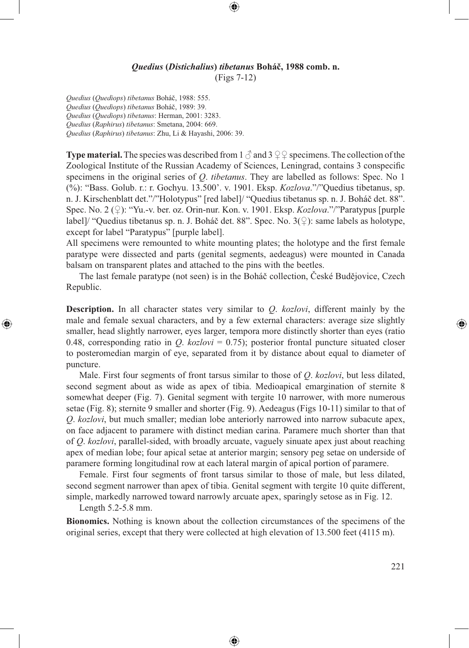### *Quedius* **(***Distichalius***)** *tibetanus* **Boháč, 1988 comb. n.** (Figs 7-12)

⊕

*Quedius* (*Quediops*) *tibetanus* Boháč, 1988: 555. *Quedius* (*Quediops*) *tibetanus* Boháč, 1989: 39. *Quedius* (*Quediops*) *tibetanus*: Herman, 2001: 3283. *Quedius* (*Raphirus*) *tibetanus*: Smetana, 2004: 669. *Quedius* (*Raphirus*) *tibetanus*: Zhu, Li & Hayashi, 2006: 39.

**Type material.** The species was described from 1  $\beta$  and 3  $\circ$  9 specimens. The collection of the Zoological Institute of the Russian Academy of Sciences, Leningrad, contains 3 conspecific specimens in the original series of *Q*. *tibetanus*. They are labelled as follows: Spec. No 1 (%): "Bass. Golub. r.: r. Gochyu. 13.500'. v. 1901. Eksp. *Kozlova*."/"Quedius tibetanus, sp. n. J. Kirschenblatt det."/"Holotypus" [red label]/ "Quedius tibetanus sp. n. J. Boháč det. 88". Spec. No. 2 (*♀*): "Yu.-v. ber. oz. Orin-nur. Kon. v. 1901. Eksp. *Kozlova*."/"Paratypus [purple label]/ "Quedius tibetanus sp. n. J. Boháč det. 88". Spec. No. 3(*♀*): same labels as holotype, except for label "Paratypus" [purple label].

All specimens were remounted to white mounting plates; the holotype and the first female paratype were dissected and parts (genital segments, aedeagus) were mounted in Canada balsam on transparent plates and attached to the pins with the beetles.

The last female paratype (not seen) is in the Boháč collection, České Budějovice, Czech Republic.

**Description.** In all character states very similar to *Q*. *kozlovi*, different mainly by the male and female sexual characters, and by a few external characters: average size slightly smaller, head slightly narrower, eyes larger, tempora more distinctly shorter than eyes (ratio 0.48, corresponding ratio in  $Q$ .  $kozlov = 0.75$ ; posterior frontal puncture situated closer to posteromedian margin of eye, separated from it by distance about equal to diameter of puncture.

Male. First four segments of front tarsus similar to those of *Q*. *kozlovi*, but less dilated, second segment about as wide as apex of tibia. Medioapical emargination of sternite 8 somewhat deeper (Fig. 7). Genital segment with tergite 10 narrower, with more numerous setae (Fig. 8); sternite 9 smaller and shorter (Fig. 9). Aedeagus (Figs 10-11) similar to that of *Q*. *kozlovi*, but much smaller; median lobe anteriorly narrowed into narrow subacute apex, on face adjacent to paramere with distinct median carina. Paramere much shorter than that of *Q*. *kozlovi*, parallel-sided, with broadly arcuate, vaguely sinuate apex just about reaching apex of median lobe; four apical setae at anterior margin; sensory peg setae on underside of paramere forming longitudinal row at each lateral margin of apical portion of paramere.

Female. First four segments of front tarsus similar to those of male, but less dilated, second segment narrower than apex of tibia. Genital segment with tergite 10 quite different, simple, markedly narrowed toward narrowly arcuate apex, sparingly setose as in Fig. 12.

Length 5.2-5.8 mm.

⊕

**Bionomics.** Nothing is known about the collection circumstances of the specimens of the original series, except that thery were collected at high elevation of 13.500 feet (4115 m).

⊕